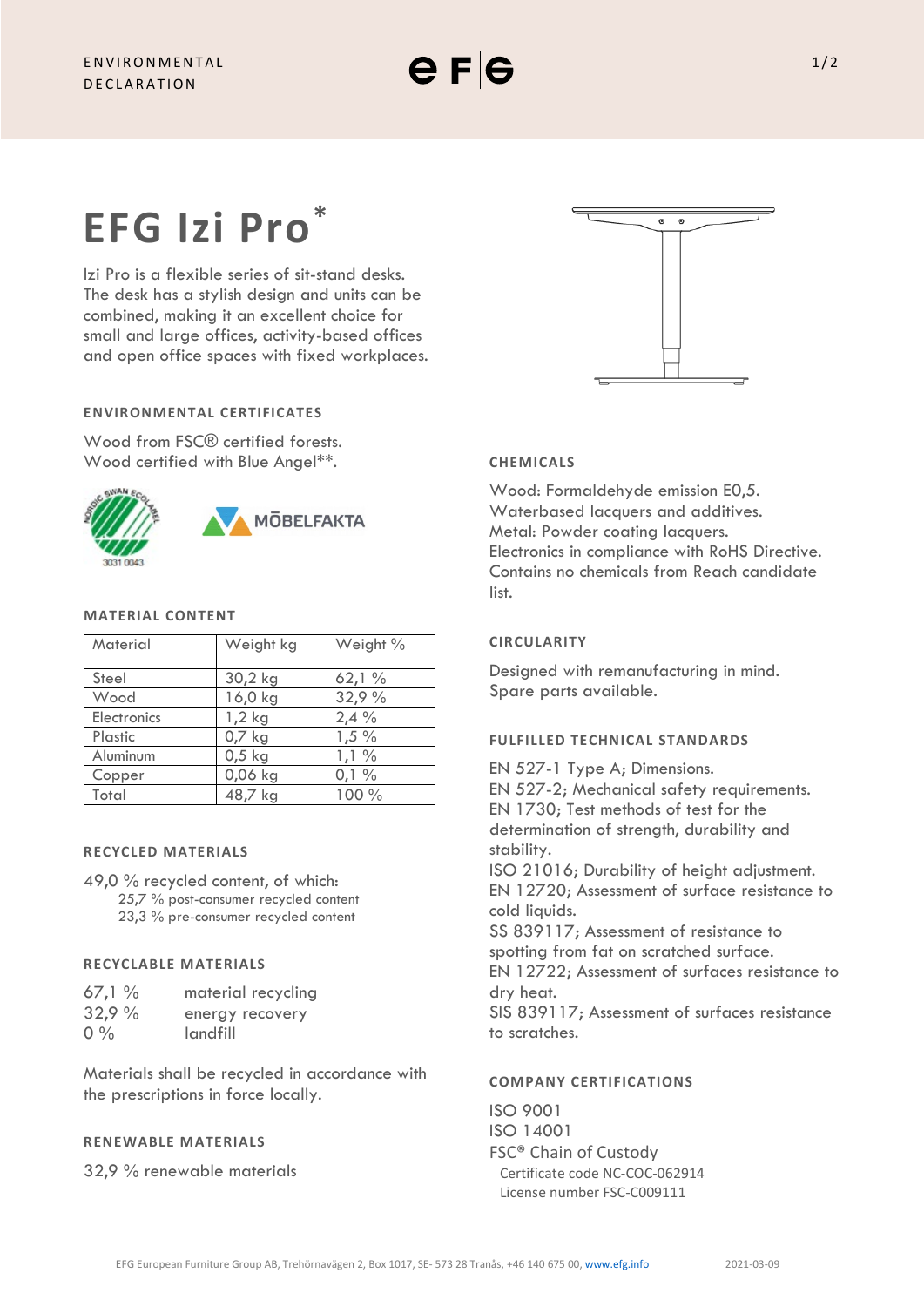

# **EFG Izi Pro\***

Izi Pro is a flexible series of sit-stand desks. The desk has a stylish design and units can be combined, making it an excellent choice for small and large offices, activity-based offices and open office spaces with fixed workplaces.

# **ENVIRONMENTAL CERTIFICATES**

Wood from FSC® certified forests. Wood certified with Blue Angel\*\*.



### **MATERIAL CONTENT**

| Material    | Weight kg | Weight % |
|-------------|-----------|----------|
| Steel       | 30,2 kg   | 62,1%    |
| Wood        | 16,0 kg   | 32,9 %   |
| Electronics | $1,2$ kg  | 2,4%     |
| Plastic     | 0,7 kg    | $1,5\%$  |
| Aluminum    | $0,5$ kg  | $1,1\%$  |
| Copper      | 0,06 kg   | 0,1%     |
| Total       | 48,7 kg   | 100 %    |

### **RECYCLED MATERIALS**

49,0 % recycled content, of which: 25,7 % post-consumer recycled content 23,3 % pre-consumer recycled content

# **RECYCLABLE MATERIALS**

| 67,1% | material recycling |
|-------|--------------------|
| 32,9% | energy recovery    |
| $0\%$ | landfill           |

Materials shall be recycled in accordance with the prescriptions in force locally.

#### **RENEWABLE MATERIALS**

32,9 % renewable materials



# **CHEMICALS**

Wood: Formaldehyde emission E0,5. Waterbased lacquers and additives. Metal: Powder coating lacquers. Electronics in compliance with RoHS Directive. Contains no chemicals from Reach candidate list.

# **CIRCULARITY**

Designed with remanufacturing in mind. Spare parts available.

### **FULFILLED TECHNICAL STANDARDS**

EN 527-1 Type A; Dimensions.

EN 527-2; Mechanical safety requirements. EN 1730; Test methods of test for the determination of strength, durability and stability.

ISO 21016; Durability of height adjustment. EN 12720; Assessment of surface resistance to cold liquids.

SS 839117; Assessment of resistance to spotting from fat on scratched surface. EN 12722; Assessment of surfaces resistance to

dry heat.

SIS 839117; Assessment of surfaces resistance to scratches.

# **COMPANY CERTIFICATIONS**

ISO 9001 ISO 14001 FSC® Chain of Custody Certificate code NC-COC-062914 License number FSC-C009111